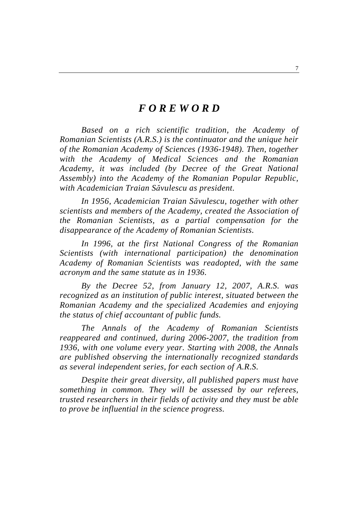# *F O R E W O R D*

*Based on a rich scientific tradition, the Academy of Romanian Scientists (A.R.S.) is the continuator and the unique heir of the Romanian Academy of Sciences (1936-1948). Then, together with the Academy of Medical Sciences and the Romanian Academy, it was included (by Decree of the Great National Assembly) into the Academy of the Romanian Popular Republic, with Academician Traian Săvulescu as president.* 

*In 1956, Academician Traian Săvulescu, together with other scientists and members of the Academy, created the Association of the Romanian Scientists, as a partial compensation for the disappearance of the Academy of Romanian Scientists.* 

*In 1996, at the first National Congress of the Romanian Scientists (with international participation) the denomination Academy of Romanian Scientists was readopted, with the same acronym and the same statute as in 1936.* 

*By the Decree 52, from January 12, 2007, A.R.S. was recognized as an institution of public interest, situated between the Romanian Academy and the specialized Academies and enjoying the status of chief accountant of public funds.* 

*The Annals of the Academy of Romanian Scientists reappeared and continued, during 2006-2007, the tradition from 1936, with one volume every year. Starting with 2008, the Annals are published observing the internationally recognized standards as several independent series, for each section of A.R.S.* 

*Despite their great diversity, all published papers must have something in common. They will be assessed by our referees, trusted researchers in their fields of activity and they must be able to prove be influential in the science progress.*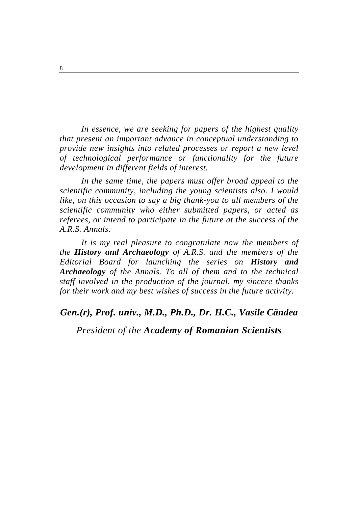*In essence, we are seeking for papers of the highest quality that present an important advance in conceptual understanding to provide new insights into related processes or report a new level of technological performance or functionality for the future development in different fields of interest.* 

*In the same time, the papers must offer broad appeal to the scientific community, including the young scientists also. I would like, on this occasion to say a big thank-you to all members of the scientific community who either submitted papers, or acted as referees, or intend to participate in the future at the success of the A.R.S. Annals.* 

*It is my real pleasure to congratulate now the members of the History and Archaeology of A.R.S. and the members of the Editorial Board for launching the series on History and Archaeology of the Annals. To all of them and to the technical staff involved in the production of the journal, my sincere thanks for their work and my best wishes of success in the future activity.* 

### *Gen.(r), Prof. univ., M.D., Ph.D., Dr. H.C., Vasile Cândea*

## *President of the Academy of Romanian Scientists*

8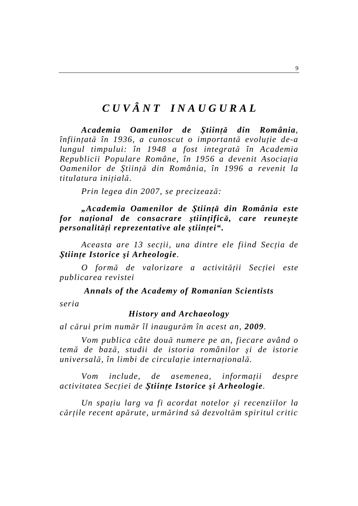# *C U V Â N T I N A U G U R A L*

*Academia Oamenilor de Ştiinţă din România, înfiinţată în 1936, a cunoscut o importantă evoluţie de-a lungul timpului: în 1948 a fost integrată în Academia Republicii Populare Române, în 1956 a devenit Asociaţia Oamenilor de Ştiinţă din România, în 1996 a revenit la titulatura iniţială.* 

*Prin legea din 2007, se precizează:* 

*"Academia Oamenilor de Ştiinţă din România este for naţional de consacrare ştiinţifică, care reuneşte personalităţi reprezentative ale ştiinţei".* 

*Aceasta are 13 secţii, una dintre ele fiind Secţia de Ştiinţe Istorice şi Arheologie.* 

*O formă de valorizare a activităţii Secţiei este publicarea revistei* 

*Annals of the Academy of Romanian Scientists* 

*seria* 

#### *History and Archaeology*

*al cărui prim număr îl inaugurăm în acest an, 2009.* 

*Vom publica câte două numere pe an, fiecare având o temă de bază, studii de istoria românilor şi de istorie universală, în limbi de circulaţie internaţională.* 

*Vom include, de asemenea, informaţii despre activitatea Secţiei de Ştiinţe Istorice şi Arheologie.* 

*Un spaţiu larg va fi acordat notelor şi recenziilor la cărţile recent apărute, urmărind să dezvoltăm spiritul critic*